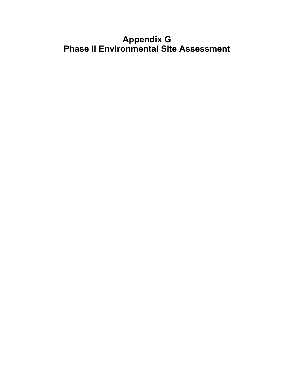# **Appendix G Phase II Environmental Site Assessment**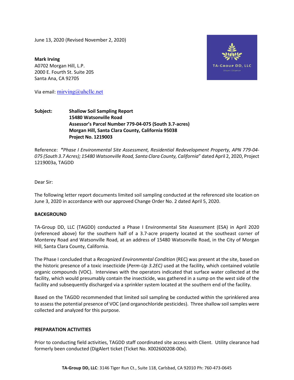June 13, 2020 (Revised November 2, 2020)

**Mark Irving** A0702 Morgan Hill, L.P. 2000 E. Fourth St. Suite 205 Santa Ana, CA 92705



Via email: [mirving@uhcllc.net](mailto:mirving@uhcllc.net)

**Subject: Shallow Soil Sampling Report 15480 Watsonville Road Assessor's Parcel Number 779-04-075 (South 3.7-acres) Morgan Hill, Santa Clara County, California 95038 Project No. 1219003**

Reference: **"***Phase I Environmental Site Assessment, Residential Redevelopment Property, APN 779-04- 075 (South 3.7 Acres); 15480 Watsonville Road, Santa Clara County, California*" dated April 2, 2020, Project 1219003a, TAGDD

Dear Sir:

The following letter report documents limited soil sampling conducted at the referenced site location on June 3, 2020 in accordance with our approved Change Order No. 2 dated April 5, 2020.

# **BACKGROUND**

TA-Group DD, LLC (TAGDD) conducted a Phase I Environmental Site Assessment (ESA) in April 2020 (referenced above) for the southern half of a 3.7-acre property located at the southeast corner of Monterey Road and Watsonville Road, at an address of 15480 Watsonville Road, in the City of Morgan Hill, Santa Clara County, California.

The Phase I concluded that a *Recognized Environmental Condition* (REC) was present at the site, based on the historic presence of a toxic insecticide (*Perm-Up 3.2EC)* used at the facility, which contained volatile organic compounds (VOC). Interviews with the operators indicated that surface water collected at the facility, which would presumably contain the insecticide, was gathered in a sump on the west side of the facility and subsequently discharged via a sprinkler system located at the southern end of the facility.

Based on the TAGDD recommended that limited soil sampling be conducted within the sprinklered area to assess the potential presence of VOC (and organochloride pesticides). Three shallow soil samples were collected and analyzed for this purpose.

#### **PREPARATION ACTIVITIES**

Prior to conducting field activities, TAGDD staff coordinated site access with Client. Utility clearance had formerly been conducted (DigAlert ticket (Ticket No. X002600208-00x).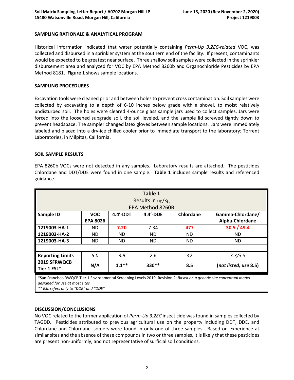# **SAMPLING RATIONALE & ANALYTICAL PROGRAM**

Historical information indicated that water potentially containing *Perm-Up 3.2EC-related* VOC, was collected and disbursed in a sprinkler system at the southern end of the facility. If present, contaminants would be expected to be greatest near surface. Three shallow soil samples were collected in the sprinkler disbursement area and analyzed for VOC by EPA Method 8260b and Organochloride Pesticides by EPA Method 8181. **Figure 1** shows sample locations.

# **SAMPLING PROCEDURES**

Excavation tools were cleaned prior and between holes to prevent cross contamination. Soil samples were collected by excavating to a depth of 6-10 inches below grade with a shovel, to moist relatively undisturbed soil. The holes were cleared 4-ounce glass sample jars used to collect samples. Jars were forced into the loosened subgrade soil, the soil leveled, and the sample lid screwed tightly down to prevent headspace. The sampler changed latex gloves between sample locations. Jars were immediately labeled and placed into a dry-ice chilled cooler prior to immediate transport to the laboratory; Torrent Laboratories, in Milpitas, California.

#### **SOIL SAMPLE RESULTS**

EPA 8260b VOCs were not detected in any samples. Laboratory results are attached. The pesticides Chlordane and DDT/DDE were found in one sample. **Table 1** includes sample results and referenced guidance.

| <b>Table 1</b>              |                               |           |           |           |                                     |
|-----------------------------|-------------------------------|-----------|-----------|-----------|-------------------------------------|
| Results in ug/Kg            |                               |           |           |           |                                     |
| EPA Method 8260B            |                               |           |           |           |                                     |
| Sample ID                   | <b>VOC</b><br><b>EPA 8026</b> | 4.4'-DDT  | 4.4'-DDE  | Chlordane | Gamma-Chlordane/<br>Alpha-Chlordane |
| 1219003-HA-1                | ND.                           | 7.20      | 7.34      | 477       | 30.5 / 49.4                         |
| 1219003-HA-2                | ND.                           | <b>ND</b> | <b>ND</b> | <b>ND</b> | ND.                                 |
| 1219003-HA-3                | ND.                           | <b>ND</b> | <b>ND</b> | <b>ND</b> | <b>ND</b>                           |
|                             |                               |           |           |           |                                     |
| <b>Reporting Limits</b>     | 5.0                           | 3.9       | 2.6       | 42        | 3.3/3.5                             |
| 2019 SFRWQCB<br>Tier 1 ESL* | N/A                           | $1.1***$  | $330**$   | 8.5       | (not listed; use 8.5)               |
|                             |                               |           |           |           |                                     |

\*San Francisco RWQCB Tier 1 Environmental Screening Levels 2019, Revision 2; *Based on a generic site conceptual model designed for use at most sites*

*\*\* ESL refers only to "DDE" and "DDE"*

# **DISCUSSION/CONCLUSIONS**

No VOC related to the former application of *Perm-Up 3.2EC* insecticide was found in samples collected by TAGDD. Pesticides attributed to previous agricultural use on the property including DDT, DDE, and Chlordane and Chlordane isomers were found in only one of three samples. Based on experience at similar sites and the absence of these compounds in two or three samples, it is likely that these pesticides are present non-uniformly, and not representative of surficial soil conditions.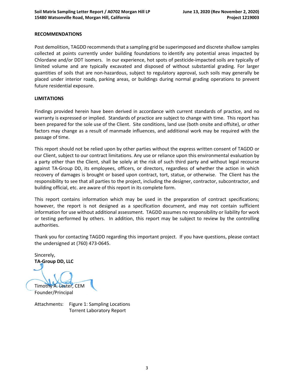#### **RECOMMENDATIONS**

Post demolition, TAGDD recommends that a sampling grid be superimposed and discrete shallow samples collected at points currently under building foundations to identify any potential areas impacted by Chlordane and/or DDT isomers. In our experience, hot spots of pesticide-impacted soils are typically of limited volume and are typically excavated and disposed of without substantial grading. For larger quantities of soils that are non-hazardous, subject to regulatory approval, such soils may generally be placed under interior roads, parking areas, or buildings during normal grading operations to prevent future residential exposure.

# **LIMITATIONS**

Findings provided herein have been derived in accordance with current standards of practice, and no warranty is expressed or implied. Standards of practice are subject to change with time. This report has been prepared for the sole use of the Client. Site conditions, land use (both onsite and offsite), or other factors may change as a result of manmade influences, and additional work may be required with the passage of time.

This report should not be relied upon by other parties without the express written consent of TAGDD or our Client, subject to our contract limitations. Any use or reliance upon this environmental evaluation by a party other than the Client, shall be solely at the risk of such third party and without legal recourse against TA-Group DD, its employees, officers, or directors, regardless of whether the action in which recovery of damages is brought or based upon contract, tort, statue, or otherwise. The Client has the responsibility to see that all parties to the project, including the designer, contractor, subcontractor, and building official, etc. are aware of this report in its complete form.

This report contains information which may be used in the preparation of contract specifications; however, the report is not designed as a specification document, and may not contain sufficient information for use without additional assessment. TAGDD assumes no responsibility or liability for work or testing performed by others. In addition, this report may be subject to review by the controlling authorities.

Thank you for contacting TAGDD regarding this important project. If you have questions, please contact the undersigned at (760) 473-0645.

Sincerely, **TA-Group DD, LLC** Timothy A. Lester, CEM

Founder/Principal

Attachments: Figure 1: Sampling Locations Torrent Laboratory Report